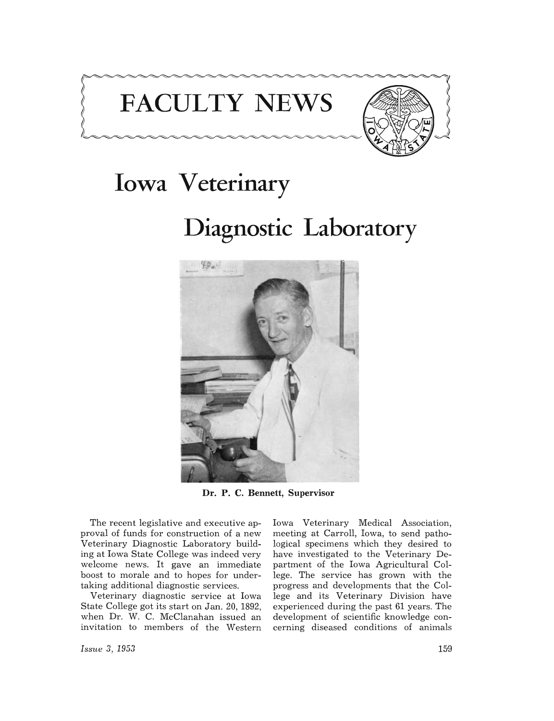# **FACULTY NEWS**



## **Iowa Veterinary**

**Diagnostic Laboratory** 



**Dr. P. C. Bennett, Supervisor** 

The recent legislative and executive approval of funds for construction of a new Veterinary Diagnostic Laboratory building at Iowa State College was indeed very welcome news. It gave an immediate boost to morale and to hopes for undertaking additional diagnostic services.

Veterinary diagnostic service at Iowa State College got its start on Jan. 20, 1892, when Dr. W. C. McClanahan issued an invitation to members of the Western

Iowa Veterinary Medical Association, meeting at Carroll, Iowa, to send pathological specimens which they desired to have investigated to the Veterinary Department of the Iowa Agricultural College. The service has grown with the progress and developments that the College and its Veterinary Division have experienced during the past 61 years. The development of scientific knowledge concerning diseased conditions of animals

*Issue* 3, 1953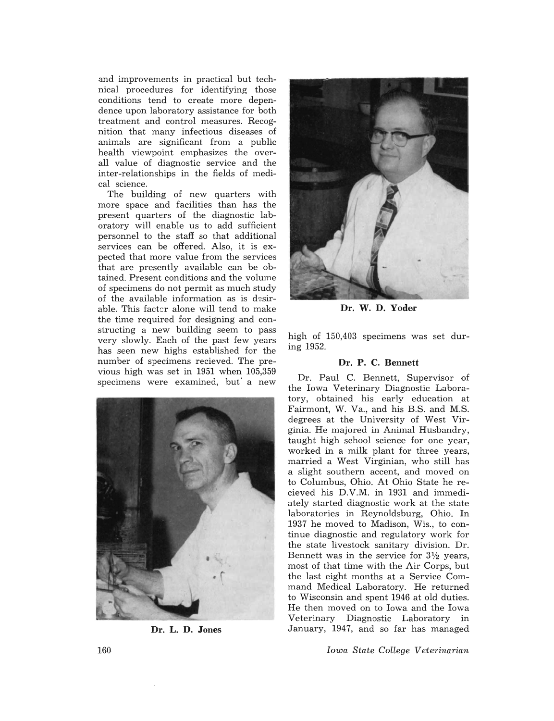and improvements in practical but technical procedures for identifying those conditions tend to create more dependence upon laboratory assistance for both treatment and control measures. Recognition that many infectious diseases of animals are significant from a public health viewpoint emphasizes the overall value of diagnostic service and the inter-relationships in the fields of medical science.

The building of new quarters with more space and facilities than has the present quarters of the diagnostic laboratory will enable us to add sufficient personnel to the staff so that additional services can be offered. Also, it is expected that more value from the services that are presently available can be obtained. Present conditions and the volume of specimens do not permit as much study of the available information as is desirable. This facter alone will tend to make the time required for designing and constructing a new building seem to pass very slowly. Each of the past few years has seen new highs established for the number of specimens recieved. The previous high was set in 1951 when 105,359 specimens were examined, but' a new



Dr. L. D. Jones



Dr. W. D. Yoder

high of 150,403 specimens was set during 1952.

### Dr. P. C. Bennett

Dr. Paul C. Bennett, Supervisor of the Iowa Veterinary Diagnostic Laboratory, obtained his early education at Fairmont, W. Va., and his B.S. and M.S. degrees at the University of West Virginia. He majored in Animal Husbandry, taught high school science for one year, worked in a milk plant for three years, married a West Virginian, who still has a slight southern accent, and moved on to Columbus, Ohio. At Ohio State he recieved his D.V.M. in 1931 and immediately started diagnostic work at the state laboratories in Reynoldsburg, Ohio. In 1937 he moved to Madison, Wis., to continue diagnostic and regulatory work for the state livestock sanitary division. Dr. Bennett was in the service for  $3\frac{1}{2}$  years, most of that time with the Air Corps, but the last eight months at a Service Command Medical Laboratory. He returned to Wisconsin and spent 1946 at old duties. He then moved on to Iowa and the Iowa Veterinary Diagnostic Laboratory in January, 1947, and so far has managed

*Iowa State College Veterinarian*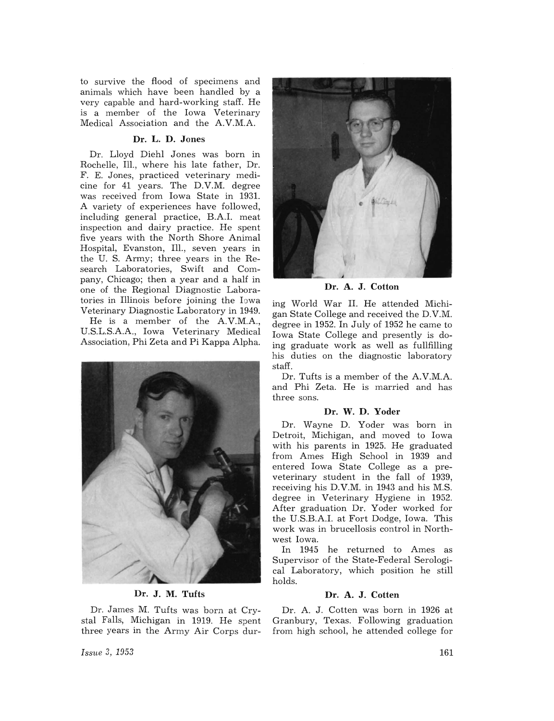to survive the flood of specimens and animals which have been handled by a very capable and hard-working staff. He is a member of the Iowa Veterinary Medical Association and the AV.M.A

### Dr. L. D. Jones

Dr. Lloyd Diehl Jones was born in Rochelle, Ill., where his late father, Dr. F. E. Jones, practiced veterinary medicine for 41 years. The D.V.M. degree was received from Iowa State in 1931. A variety of experiences have followed, including general practice, B.A.I. meat inspection and dairy practice. He spent five years with the North Shore Animal Hospital, Evanston, Ill., seven years in the U. S. Army; three years in the Research Laboratories, Swift and Company, Chicago; then a year and a half in one of the Regional Diagnostic Laboratories in Illinois before joining the Iowa Veterinary Diagnostic Laboratory in 1949.

He is a member of the AV.M.A, U.S.L.S.AA., Iowa Veterinary Medical Association, Phi Zeta and Pi Kappa Alpha.



Dr. J. M. Tufts

Dr. James M. Tufts was born at Crystal Falls, Michigan in 1919. He spent three years in the Army Air Corps dur-



Dr. A. J. Cotton

ing World War II. He attended Michigan State College and received the D.V.M. degree in 1952. In July of 1952 he came to Iowa State College and presently is doing graduate work as well as fullfilling his duties on the diagnostic laboratory staff.

Dr. Tufts is a member of the A.V.M.A. and Phi Zeta. He is married and has three sons.

### Dr. W. D. Yoder

Dr. Wayne D. Yoder was born in Detroit, Michigan, and moved to Iowa with his parents in 1925. He graduated from Ames High School in 1939 and entered Iowa State College as a preveterinary student in the fall of 1939, receiving his D.V.M. in 1943 and his M.S. degree in Veterinary Hygiene in 1952. After graduation Dr. Yoder worked for the U.S.B.AI. at Fort Dodge, Iowa. This work was in brucellosis control in Northwest Iowa.

In 1945 he returned to Ames as Supervisor of the State-Federal Serological Laboratory, which position he still holds.

### Dr. A. J. Cotten

Dr. A. J. Cotten was born in 1926 at Granbury, Texas. Following graduation from high school, he attended college for

*Issue* 3, 1953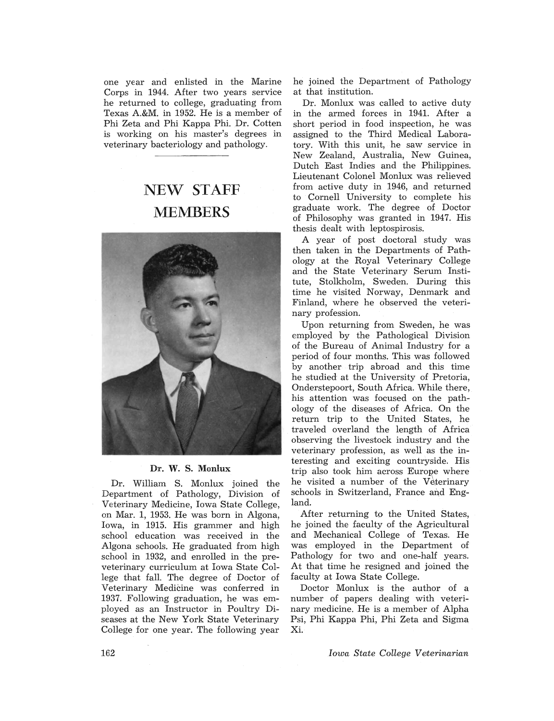one year and enlisted in the Marine Corps in 1944. After two years service he returned to college, graduating from Texas A.&M. in 1952. He is a member of Phi Zeta and Phi Kappa Phi. Dr. Cotten is working on his master's degrees in veterinary bacteriology and pathology.

### NEW STAFF MEMBERS



#### Dr. W. S. Monlux

Dr. William S. Monlux joined the Department of Pathology, Division of Veterinary Medicine, Iowa State College, on Mar. 1, 1953. He was born in Algona, Iowa, in 1915. His grammer and high school education was received in the Algona schools. He graduated from high school in 1932, and enrolled in the preveterinary curriculum at Iowa State College that fall. The degree of Doctor of Veterinary Medicine was conferred in 1937. Following graduation, he was employed as an Instructor in Poultry Diseases at the New York State Veterinary College for one year. The following year

he joined the Department of Pathology at that institution.

Dr. Monlux was called to active duty in the armed forces in 1941. After a short period in food inspection, he was assigned to the Third Medical Laboratory. With this unit, he saw service in New Zealand, Australia, New Guinea, Dutch East Indies and the Philippines. Lieutenant Colonel Monlux was relieved from active duty in 1946, and returned to Cornell University to complete his graduate work. The degree of Doctor of Philosophy was granted in 1947. His thesis dealt with leptospirosis.

A year of post doctoral study was then taken in the Departments of Pathology at the Royal Veterinary College and the State Veterinary Serum Institute, Stolkholm, Sweden. During this time he visited Norway, Denmark and Finland, where he observed the veterinary profession.

Upon returning from Sweden, he was employed by the Pathological Division of the Bureau of Animal Industry for a period of four months. This was followed by another trip abroad and this time he studied at the University of Pretoria, Onderstepoort, South Africa. While there, his attention was focused on the pathology of the diseases of Africa. On the return trip to the United States, he traveled overland the length of Africa observing the livestock industry and the veterinary profession, as well as the interesting and exciting countryside. His trip also took him across Europe where he visited a number of the Veterinary schools in Switzerland, France and England.

After returning to the United States, he joined the faculty of the Agricultural and Mechanical College of Texas. He was employed in the Department of Pathology for two and one-half years. At that time he resigned and joined the faculty at Iowa State College.

Doctor Monlux is the author of a number of papers dealing with veterinary medicine. He is a member of Alpha Psi, Phi Kappa Phi, Phi Zeta and Sigma Xi.

*Iowa State College Verterinarian*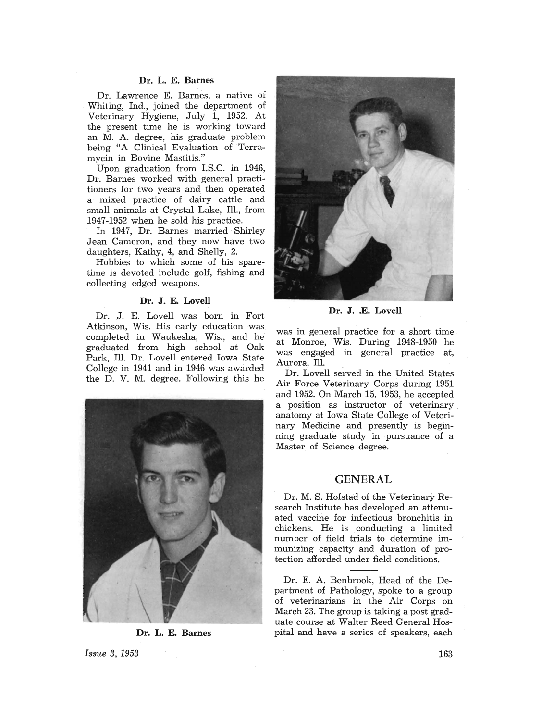### **Dr. L. E. Barnes**

Dr. Lawrence E. Barnes, a native of Whiting, Ind., joined the department of Veterinary Hygiene, July 1, 1952. At the present time he is working toward an M. A. degree, his graduate problem being "A Clinical Evaluation of Terramycin in Bovine Mastitis."

Upon graduation from LS.C. in 1946, Dr. Barnes worked with general practitioners for two years and then operated a mixed practice of dairy cattle and small animals at Crystal Lake, Ill., from 1947-1952 when he sold his practice.

In 1947, Dr. Barnes married Shirley Jean Cameron, and they now have two daughters, Kathy, 4, and Shelly, 2.

Hobbies to which some of his sparetime is devoted include golf, fishing and collecting edged weapons.

### **Dr. J. E. Lovell**

Dr. J. E. Lovell was born in Fort Atkinson, Wis. His early education was completed in Waukesha, Wis., and he graduated from high school at Oak Park, Ill. Dr. Lovell entered Iowa State College in 1941 and in 1946 was awarded the D. V. M. degree. Following this he



**Dr. L. E. Barnes** 



Dr. J. .E. Lovell

was in general practice for a short time at Monroe, Wis. During 1948-1950 he was engaged in general practice at, Aurora, Ill.

Dr. Lovell served in the United States Air Force Veterinary Corps during 1951 and 1952. On March 15, 1953, he accepted a position as instructor of veterinary anatomy at Iowa State College of Veterinary Medicine and presently is beginning graduate study in pursuance of a Master of Science degree.

### **GENERAL**

Dr. M. S. Hofstad of the Veterinary Research Institute has developed an attenuated vaccine for infectious bronchitis in chickens. He is conducting a limited number of field trials to determine immunizing capacity and duration of protection afforded under field conditions.

Dr. E. A. Benbrook, Head of the Department of Pathology, spoke to a group of veterinarians in the Air Corps on March 23. The group is taking a post graduate course at Walter Reed General Hospital and have a series of speakers, each

*Issue* 3, 1953